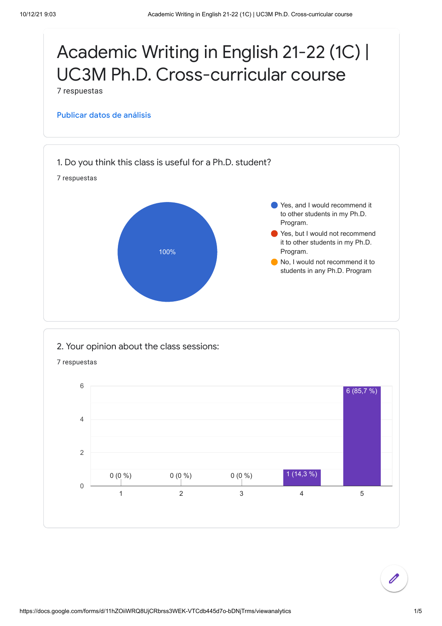

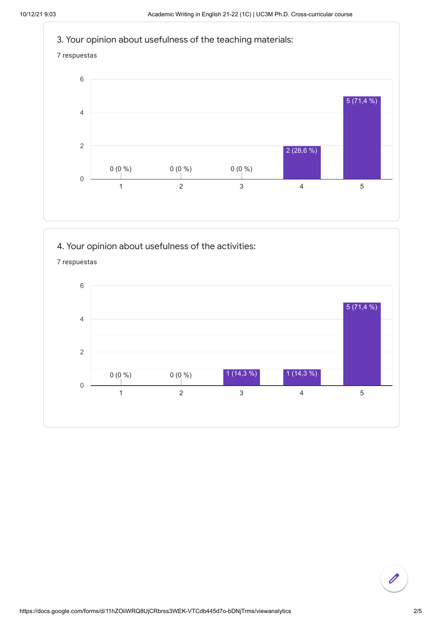

## 4. Your opinion about usefulness of the activities:



7 respuestas

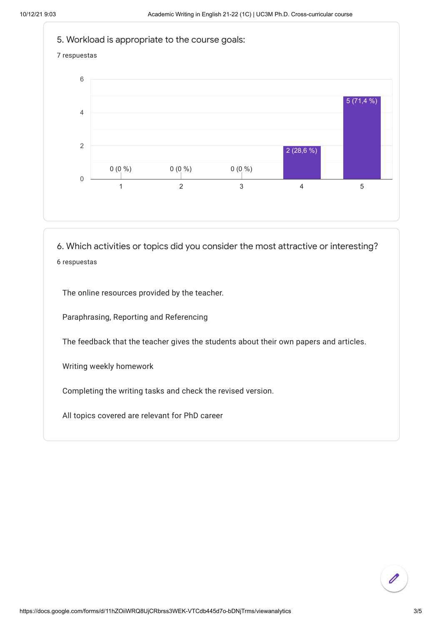

6. Which activities or topics did you consider the most attractive or interesting? 6 respuestas

The online resources provided by the teacher.

Paraphrasing, Reporting and Referencing

The feedback that the teacher gives the students about their own papers and articles.

Writing weekly homework

Completing the writing tasks and check the revised version.

All topics covered are relevant for PhD career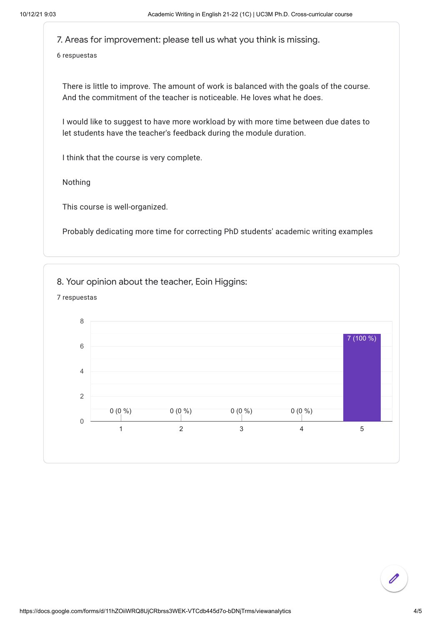7. Areas for improvement: please tell us what you think is missing.

6 respuestas

There is little to improve. The amount of work is balanced with the goals of the course. And the commitment of the teacher is noticeable. He loves what he does.

I would like to suggest to have more workload by with more time between due dates to let students have the teacher's feedback during the module duration.

I think that the course is very complete.

Nothing

This course is well-organized.

Probably dedicating more time for correcting PhD students' academic writing examples

8. Your opinion about the teacher, Eoin Higgins: